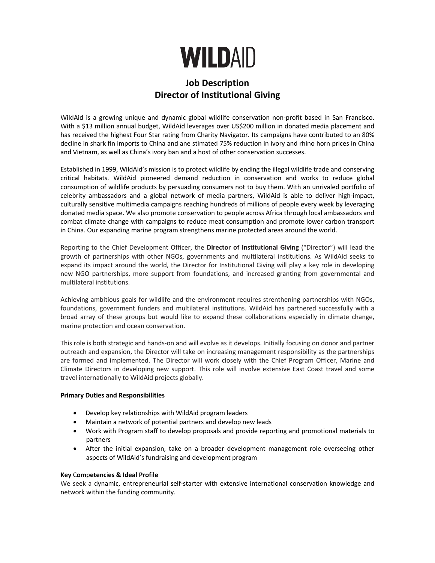

# **Job Description Director of Institutional Giving**

WildAid is a growing unique and dynamic global wildlife conservation non-profit based in San Francisco. With a \$13 million annual budget, WildAid leverages over US\$200 million in donated media placement and has received the highest Four Star rating from Charity Navigator. Its campaigns have contributed to an 80% decline in shark fin imports to China and ane stimated 75% reduction in ivory and rhino horn prices in China and Vietnam, as well as China's ivory ban and a host of other conservation successes.

Established in 1999, WildAid's mission is to protect wildlife by ending the illegal wildlife trade and conserving critical habitats. WildAid pioneered demand reduction in conservation and works to reduce global consumption of wildlife products by persuading consumers not to buy them. With an unrivaled portfolio of celebrity ambassadors and a global network of media partners, WildAid is able to deliver high-impact, culturally sensitive multimedia campaigns reaching hundreds of millions of people every week by leveraging donated media space. We also promote conservation to people across Africa through local ambassadors and combat climate change with campaigns to reduce meat consumption and promote lower carbon transport in China. Our expanding marine program strengthens marine protected areas around the world.

Reporting to the Chief Development Officer, the **Director of Institutional Giving** ("Director") will lead the growth of partnerships with other NGOs, governments and multilateral institutions. As WildAid seeks to expand its impact around the world, the Director for Institutional Giving will play a key role in developing new NGO partnerships, more support from foundations, and increased granting from governmental and multilateral institutions.

Achieving ambitious goals for wildlife and the environment requires strenthening partnerships with NGOs, foundations, government funders and multilateral institutions. WildAid has partnered successfully with a broad array of these groups but would like to expand these collaborations especially in climate change, marine protection and ocean conservation.

This role is both strategic and hands-on and will evolve as it develops. Initially focusing on donor and partner outreach and expansion, the Director will take on increasing management responsibility as the partnerships are formed and implemented. The Director will work closely with the Chief Program Officer, Marine and Climate Directors in developing new support. This role will involve extensive East Coast travel and some travel internationally to WildAid projects globally.

# **Primary Duties and Responsibilities**

- Develop key relationships with WildAid program leaders
- Maintain a network of potential partners and develop new leads
- Work with Program staff to develop proposals and provide reporting and promotional materials to partners
- After the initial expansion, take on a broader development management role overseeing other aspects of WildAid's fundraising and development program

# **Key** C**om**p**etenc**i**es & Ideal Prof**i**le**

We seek a dynamic, entrepreneurial self-starter with extensive international conservation knowledge and network within the funding community.